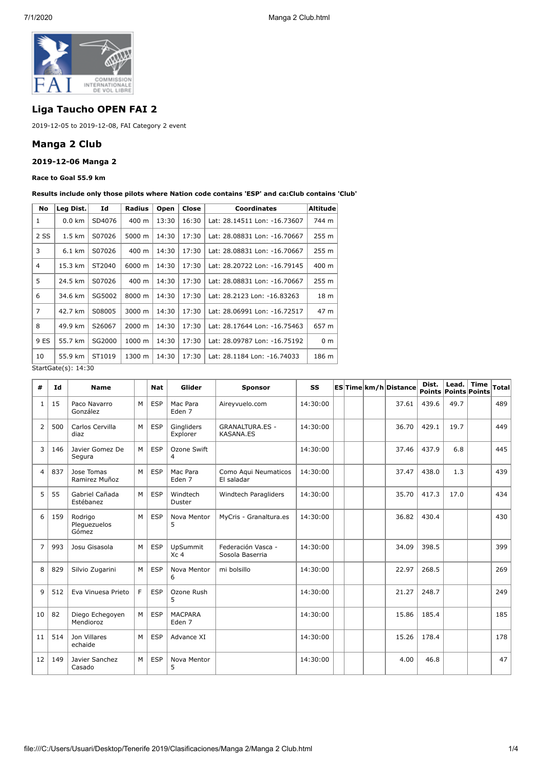

# **Liga Taucho OPEN FAI 2**

2019-12-05 to 2019-12-08, FAI Category 2 event

## **Manga 2 Club**

### **2019-12-06 Manga 2**

#### **Race to Goal 55.9 km**

**Results include only those pilots where Nation code contains 'ESP' and ca:Club contains 'Club'**

| No             | Leg Dist.           | Id     | <b>Radius</b> | Open  | Close | <b>Coordinates</b>           | Altitude         |
|----------------|---------------------|--------|---------------|-------|-------|------------------------------|------------------|
| 1              | $0.0 \text{ km}$    | SD4076 | 400 m         | 13:30 | 16:30 | Lat: 28.14511 Lon: -16.73607 | 744 m            |
| 2 SS           | 1.5 km              | S07026 | 5000 m        | 14:30 | 17:30 | Lat: 28.08831 Lon: -16.70667 | 255 m            |
| 3              | 6.1 km              | S07026 | 400 m         | 14:30 | 17:30 | Lat: 28.08831 Lon: -16.70667 | 255 <sub>m</sub> |
| 4              | 15.3 km             | ST2040 | 6000 m        | 14:30 | 17:30 | Lat: 28.20722 Lon: -16.79145 | 400 m            |
| 5              | 24.5 km             | S07026 | 400 m         | 14:30 | 17:30 | Lat: 28.08831 Lon: -16.70667 | 255 m            |
| 6              | 34.6 km             | SG5002 | 8000 m        | 14:30 | 17:30 | Lat: 28.2123 Lon: -16.83263  | 18 m             |
| $\overline{7}$ | 42.7 km             | S08005 | 3000 m        | 14:30 | 17:30 | Lat: 28.06991 Lon: -16.72517 | 47 m             |
| 8              | 49.9 km             | S26067 | 2000 m        | 14:30 | 17:30 | Lat: 28.17644 Lon: -16.75463 | 657 m            |
| 9 ES           | 55.7 km             | SG2000 | 1000 m        | 14:30 | 17:30 | Lat: 28.09787 Lon: -16.75192 | 0 <sub>m</sub>   |
| 10             | 55.9 km             | ST1019 | 1300 m        | 14:30 | 17:30 | Lat: 28.1184 Lon: -16.74033  | 186 m            |
|                | StartGate(s): 14:30 |        |               |       |       |                              |                  |

**# Id Name Nat Glider Sponsor SS ES Time km/h Distance Dist. Points Lead. Points Time Points Total**  $1 \mid 15 \mid$  Paco Navarro González  $M \, \triangleq$  ESP  $\,$  Mac Para Eden 7 Aireyvuelo.com | 14:30:00 | | | | 37.61 439.6 49.7 | | 489 2 500 Carlos Cervilla diaz  $M \vert$  ESP  $\vert$  Gingliders Explorer GRANALTURA.ES - KASANA.ES 14:30:00 | | | 36.70 429.1 | 19.7 | 449 3 146 Javier Gomez De Segura M | ESP | Ozone Swift 4 14:30:00 | | | 37.46 | 437.9 | 6.8 | 445  $4 \mid 837 \mid$  Jose Tomas Ramirez Muñoz M | ESP | Mac Para Eden 7 Como Aqui Neumaticos El saladar 14:30:00 37.47 438.0 1.3 439 5 55 Gabriel Cañada Estébanez M ESP Windtech Duster Windtech Paragliders | 14:30:00 | | | | 35.70 417.3 | 17.0 | 434 6 159 Rodrigo Pleguezuelos Gómez M ESP Nova Mentor 5 MyCris - Granaltura.es | 14:30:00 | | | | | 36.82 | 430.4 | | | | 430 7 993 Josu Gisasola M ESP UpSummit  $\overline{X}$ c 4 Federación Vasca - Sosola Baserria 14:30:00 34.09 398.5 399 8 829 Silvio Zugarini | M ESP Nova Mentor 6 mi bolsillo  $14:30:00$  | | 22.97 268.5 | 269 9 512 Eva Vinuesa Prieto | F | ESP | Ozone Rush 5 14:30:00 21.27 248.7 249 10 82 Diego Echegoven Mendioroz M ESP MACPARA Eden 7  $14:30:00$  | | | 15.86 185.4 | | 185  $11$  514 Jon Villares echaide M | ESP | Advance XI | | | 14:30:00 | | | | 15.26 | 178.4 | | 178 12 149 Javier Sanchez Casado M | ESP | Nova Mentor 5 14:30:00 4.00 46.8 47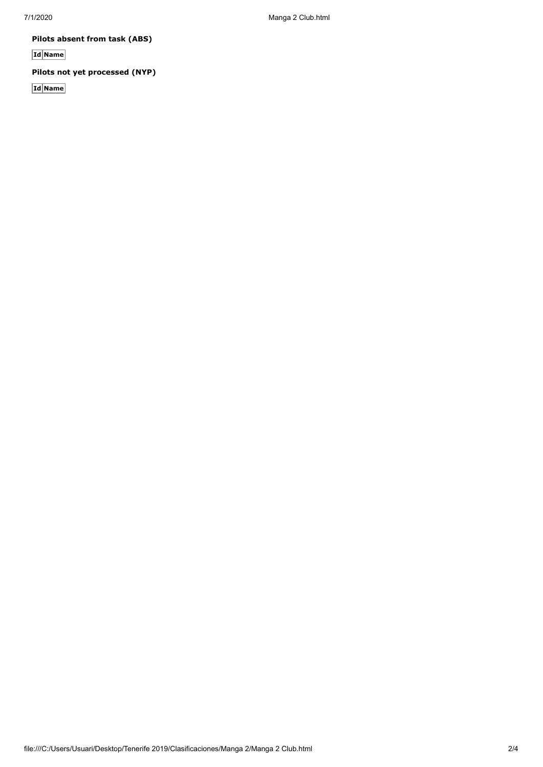7/1/2020 Manga 2 Club.html

**Pilots absent from task (ABS)**

**Id Name**

**Pilots not yet processed (NYP)**

**Id Name**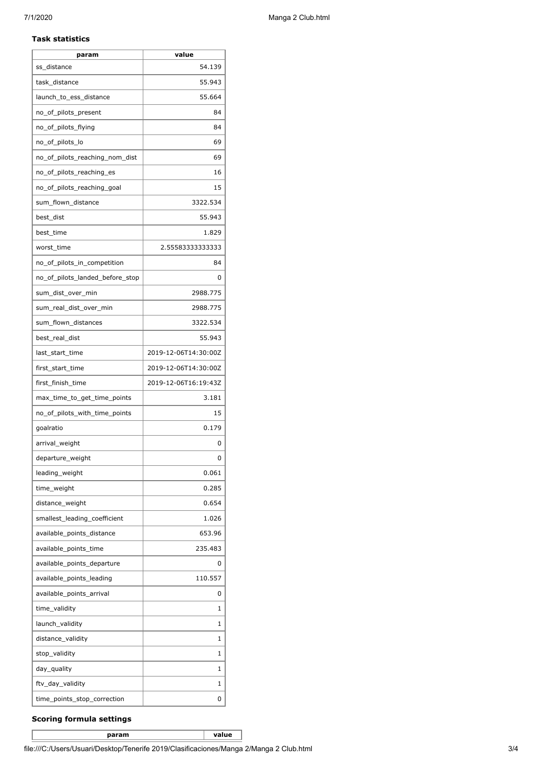### **Task statistics**

| param                           | value                |
|---------------------------------|----------------------|
| ss_distance                     | 54.139               |
| task distance                   | 55.943               |
| launch_to_ess_distance          | 55.664               |
| no_of_pilots_present            | 84                   |
| no_of_pilots_flying             | 84                   |
| no_of_pilots_lo                 | 69                   |
| no_of_pilots_reaching_nom_dist  | 69                   |
| no of pilots reaching es        | 16                   |
| no_of_pilots_reaching_goal      | 15                   |
| sum_flown_distance              | 3322.534             |
| best_dist                       | 55.943               |
| best_time                       | 1.829                |
| worst time                      | 2.55583333333333     |
| no_of_pilots_in_competition     | 84                   |
| no_of_pilots_landed_before_stop | 0                    |
| sum_dist_over_min               | 2988.775             |
| sum_real_dist_over_min          | 2988.775             |
| sum_flown_distances             | 3322.534             |
| best_real_dist                  | 55.943               |
| last_start_time                 | 2019-12-06T14:30:00Z |
| first_start_time                | 2019-12-06T14:30:00Z |
| first_finish_time               | 2019-12-06T16:19:43Z |
| max_time_to_get_time_points     | 3.181                |
| no_of_pilots_with_time_points   | 15                   |
| goalratio                       | 0.179                |
| arrival_weight                  | 0                    |
| departure_weight                | 0                    |
| leading_weight                  | 0.061                |
| time_weight                     | 0.285                |
| distance_weight                 | 0.654                |
| smallest_leading_coefficient    | 1.026                |
| available_points_distance       | 653.96               |
| available_points_time           | 235.483              |
| available_points_departure      | 0                    |
| available_points_leading        | 110.557              |
| available_points_arrival        | 0                    |
| time_validity                   | 1                    |
| launch_validity                 | 1                    |
| distance_validity               | 1                    |
| stop_validity                   | 1                    |
| day_quality                     | 1                    |
| ftv_day_validity                | 1                    |
| time_points_stop_correction     | 0                    |

### **Scoring formula settings**

**param value**